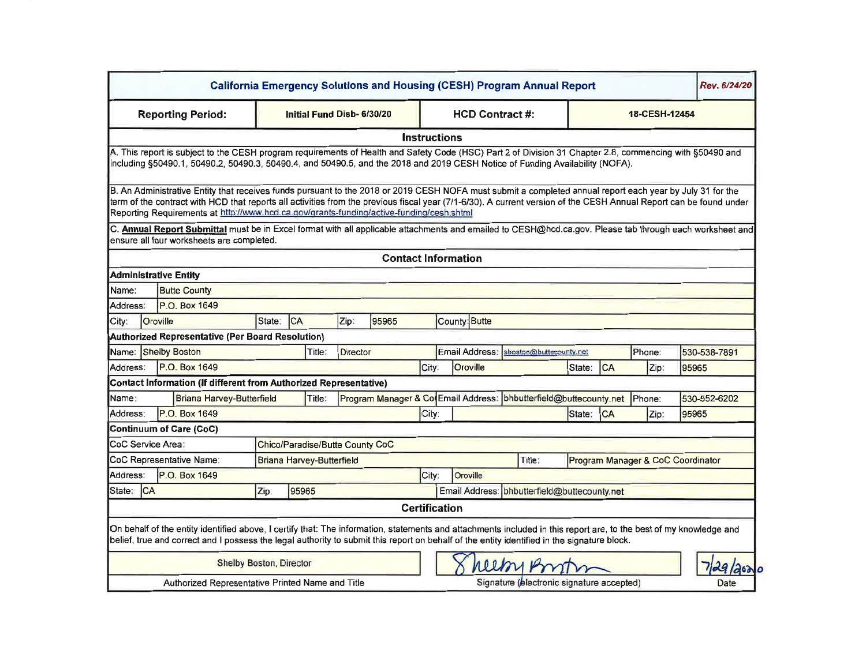|                                                                            |                 |                                                                                                                                                                                                                                                                                                                                                                                                                             |       |                                 |                 |               |                      | <b>California Emergency Solutions and Housing (CESH) Program Annual Report</b> |                                           |       |        |            |                                   |       | Rev. 6/24/20 |
|----------------------------------------------------------------------------|-----------------|-----------------------------------------------------------------------------------------------------------------------------------------------------------------------------------------------------------------------------------------------------------------------------------------------------------------------------------------------------------------------------------------------------------------------------|-------|---------------------------------|-----------------|---------------|----------------------|--------------------------------------------------------------------------------|-------------------------------------------|-------|--------|------------|-----------------------------------|-------|--------------|
| <b>Reporting Period:</b>                                                   |                 |                                                                                                                                                                                                                                                                                                                                                                                                                             |       | Initial Fund Disb- 6/30/20      |                 |               |                      | <b>HCD Contract #:</b>                                                         |                                           |       |        |            |                                   |       |              |
|                                                                            |                 |                                                                                                                                                                                                                                                                                                                                                                                                                             |       |                                 |                 |               | <b>Instructions</b>  |                                                                                |                                           |       |        |            |                                   |       |              |
|                                                                            |                 | A. This report is subject to the CESH program requirements of Health and Safety Code (HSC) Part 2 of Division 31 Chapter 2.8, commencing with §50490 and<br>including §50490.1, 50490.2, 50490.3, 50490.4, and 50490.5, and the 2018 and 2019 CESH Notice of Funding Availability (NOFA).                                                                                                                                   |       |                                 |                 |               |                      |                                                                                |                                           |       |        |            |                                   |       |              |
|                                                                            |                 | B. An Administrative Entity that receives funds pursuant to the 2018 or 2019 CESH NOFA must submit a completed annual report each year by July 31 for the<br>term of the contract with HCD that reports all activities from the previous fiscal year (7/1-6/30). A current version of the CESH Annual Report can be found under<br>Reporting Requirements at http://www.hcd.ca.gov/grants-funding/active-funding/cesh.shtml |       |                                 |                 |               |                      |                                                                                |                                           |       |        |            |                                   |       |              |
|                                                                            |                 | C. Annual Report Submittal must be in Excel format with all applicable attachments and emailed to CESH@hcd.ca.gov. Please tab through each worksheet and<br>ensure all four worksheets are completed.                                                                                                                                                                                                                       |       |                                 |                 |               |                      |                                                                                |                                           |       |        |            |                                   |       |              |
|                                                                            |                 |                                                                                                                                                                                                                                                                                                                                                                                                                             |       |                                 |                 |               |                      | <b>Contact Information</b>                                                     |                                           |       |        |            |                                   |       |              |
|                                                                            |                 | <b>Administrative Entity</b>                                                                                                                                                                                                                                                                                                                                                                                                |       |                                 |                 |               |                      |                                                                                |                                           |       |        |            |                                   |       |              |
| Name:                                                                      |                 | <b>Butte County</b>                                                                                                                                                                                                                                                                                                                                                                                                         |       |                                 |                 |               |                      |                                                                                |                                           |       |        |            |                                   |       |              |
| Address:                                                                   |                 | P.O. Box 1649                                                                                                                                                                                                                                                                                                                                                                                                               |       |                                 |                 |               |                      |                                                                                |                                           |       |        |            |                                   |       |              |
| City:                                                                      | <b>Oroville</b> | Zip:<br><b>CA</b><br>95965<br>State:                                                                                                                                                                                                                                                                                                                                                                                        |       |                                 |                 | County: Butte |                      |                                                                                |                                           |       |        |            |                                   |       |              |
|                                                                            |                 | <b>Authorized Representative (Per Board Resolution)</b>                                                                                                                                                                                                                                                                                                                                                                     |       |                                 |                 |               |                      |                                                                                |                                           |       |        |            |                                   |       |              |
|                                                                            |                 | Name: Shelby Boston                                                                                                                                                                                                                                                                                                                                                                                                         |       | Title:                          | <b>Director</b> |               |                      | Email Address:<br>sboston@buttecounty.net                                      |                                           |       |        |            | Phone:                            |       | 530-538-7891 |
| P.O. Box 1649<br>Address:                                                  |                 |                                                                                                                                                                                                                                                                                                                                                                                                                             | City: | Oroville                        |                 |               | State:               | <b>CA</b>                                                                      | Zip:                                      | 95965 |        |            |                                   |       |              |
|                                                                            |                 | Contact Information (If different from Authorized Representative)                                                                                                                                                                                                                                                                                                                                                           |       |                                 |                 |               |                      |                                                                                |                                           |       |        |            |                                   |       |              |
| Name:                                                                      |                 | Briana Harvey-Butterfield                                                                                                                                                                                                                                                                                                                                                                                                   |       | Title:                          |                 |               |                      | Program Manager & Co Email Address: bhbutterfield@buttecounty.net              |                                           |       |        |            | Phone:                            |       | 530-552-6202 |
| Address:                                                                   |                 | P.O. Box 1649                                                                                                                                                                                                                                                                                                                                                                                                               |       |                                 |                 |               | City:                |                                                                                |                                           |       | State: | <b>ICA</b> | Zip:                              | 95965 |              |
|                                                                            |                 | <b>Continuum of Care (CoC)</b>                                                                                                                                                                                                                                                                                                                                                                                              |       |                                 |                 |               |                      |                                                                                |                                           |       |        |            |                                   |       |              |
| CoC Service Area:                                                          |                 |                                                                                                                                                                                                                                                                                                                                                                                                                             |       | Chico/Paradise/Butte County CoC |                 |               |                      |                                                                                |                                           |       |        |            |                                   |       |              |
|                                                                            |                 | CoC Representative Name:<br>Briana Harvey-Butterfield                                                                                                                                                                                                                                                                                                                                                                       |       |                                 |                 |               |                      |                                                                                | Title:                                    |       |        |            | Program Manager & CoC Coordinator |       |              |
| Address:                                                                   |                 | P.O. Box 1649<br>Oroville<br>City:                                                                                                                                                                                                                                                                                                                                                                                          |       |                                 |                 |               |                      |                                                                                |                                           |       |        |            |                                   |       |              |
| Email Address: bhbutterfield@buttecounty.net<br>Zip:<br>95965<br>State: CA |                 |                                                                                                                                                                                                                                                                                                                                                                                                                             |       |                                 |                 |               |                      |                                                                                |                                           |       |        |            |                                   |       |              |
|                                                                            |                 |                                                                                                                                                                                                                                                                                                                                                                                                                             |       |                                 |                 |               | <b>Certification</b> |                                                                                |                                           |       |        |            |                                   |       |              |
|                                                                            |                 | On behalf of the entity identified above, I certify that: The information, statements and attachments included in this report are, to the best of my knowledge and<br>belief, true and correct and I possess the legal authority to submit this report on behalf of the entity identified in the signature block.                                                                                                           |       |                                 |                 |               |                      |                                                                                |                                           |       |        |            |                                   |       |              |
|                                                                            |                 | <b>Shelby Boston, Director</b>                                                                                                                                                                                                                                                                                                                                                                                              |       |                                 |                 |               |                      |                                                                                |                                           |       |        |            |                                   |       | 29/200       |
|                                                                            |                 | Authorized Representative Printed Name and Title                                                                                                                                                                                                                                                                                                                                                                            |       |                                 |                 |               |                      |                                                                                | Signature (electronic signature accepted) |       |        |            |                                   |       | Date         |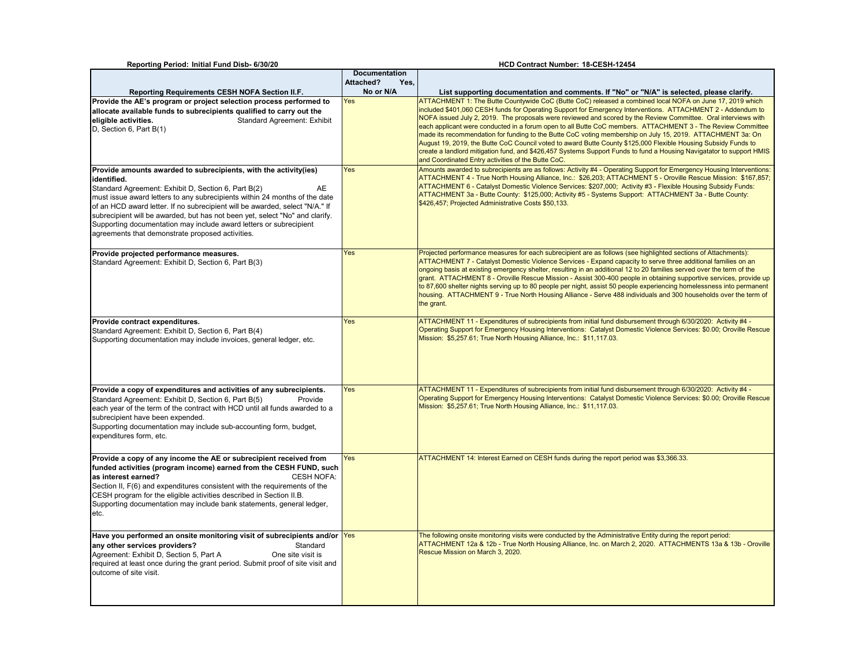| Reporting Period: Initial Fund Disb- 6/30/20                                                                                                                                                                                                                                                                                                                                                                                                                                                                          |                      | HCD Contract Number: 18-CESH-12454                                                                                                                                                                                                                                                                                                                                                                                                                                                                                                                                                                                                                                                                                                                                                                                                                                     |
|-----------------------------------------------------------------------------------------------------------------------------------------------------------------------------------------------------------------------------------------------------------------------------------------------------------------------------------------------------------------------------------------------------------------------------------------------------------------------------------------------------------------------|----------------------|------------------------------------------------------------------------------------------------------------------------------------------------------------------------------------------------------------------------------------------------------------------------------------------------------------------------------------------------------------------------------------------------------------------------------------------------------------------------------------------------------------------------------------------------------------------------------------------------------------------------------------------------------------------------------------------------------------------------------------------------------------------------------------------------------------------------------------------------------------------------|
|                                                                                                                                                                                                                                                                                                                                                                                                                                                                                                                       | <b>Documentation</b> |                                                                                                                                                                                                                                                                                                                                                                                                                                                                                                                                                                                                                                                                                                                                                                                                                                                                        |
|                                                                                                                                                                                                                                                                                                                                                                                                                                                                                                                       | Attached?<br>Yes,    |                                                                                                                                                                                                                                                                                                                                                                                                                                                                                                                                                                                                                                                                                                                                                                                                                                                                        |
| <b>Reporting Requirements CESH NOFA Section II.F.</b>                                                                                                                                                                                                                                                                                                                                                                                                                                                                 | No or N/A            | List supporting documentation and comments. If "No" or "N/A" is selected, please clarify.                                                                                                                                                                                                                                                                                                                                                                                                                                                                                                                                                                                                                                                                                                                                                                              |
| Provide the AE's program or project selection process performed to<br>allocate available funds to subrecipients qualified to carry out the<br>eligible activities.<br><b>Standard Agreement: Exhibit</b><br>D, Section 6, Part B(1)                                                                                                                                                                                                                                                                                   | Yes                  | ATTACHMENT 1: The Butte Countywide CoC (Butte CoC) released a combined local NOFA on June 17, 2019 which<br>included \$401,060 CESH funds for Operating Support for Emergency Interventions. ATTACHMENT 2 - Addendum to<br>NOFA issued July 2, 2019. The proposals were reviewed and scored by the Review Committee. Oral interviews with<br>each applicant were conducted in a forum open to all Butte CoC members. ATTACHMENT 3 - The Review Committee<br>made its recommendation for funding to the Butte CoC voting membership on July 15, 2019. ATTACHMENT 3a: On<br>August 19, 2019, the Butte CoC Council voted to award Butte County \$125,000 Flexible Housing Subsidy Funds to<br>create a landlord mitigation fund, and \$426,457 Systems Support Funds to fund a Housing Navigatator to support HMIS<br>and Coordinated Entry activities of the Butte CoC. |
| Provide amounts awarded to subrecipients, with the activity (ies)<br>identified.<br>Standard Agreement: Exhibit D, Section 6, Part B(2)<br>AE<br>must issue award letters to any subrecipients within 24 months of the date<br>of an HCD award letter. If no subrecipient will be awarded, select "N/A." If<br>subrecipient will be awarded, but has not been yet, select "No" and clarify.<br>Supporting documentation may include award letters or subrecipient<br>agreements that demonstrate proposed activities. | Yes                  | Amounts awarded to subrecipients are as follows: Activity #4 - Operating Support for Emergency Housing Interventions:<br>ATTACHMENT 4 - True North Housing Alliance, Inc.: \$26,203; ATTACHMENT 5 - Oroville Rescue Mission: \$167,857;<br>ATTACHMENT 6 - Catalyst Domestic Violence Services: \$207,000; Activity #3 - Flexible Housing Subsidy Funds:<br>ATTACHMENT 3a - Butte County: \$125,000; Activity #5 - Systems Support: ATTACHMENT 3a - Butte County:<br>\$426,457; Projected Administrative Costs \$50,133.                                                                                                                                                                                                                                                                                                                                                |
| Provide projected performance measures.<br>Standard Agreement: Exhibit D, Section 6, Part B(3)                                                                                                                                                                                                                                                                                                                                                                                                                        | Yes                  | Projected performance measures for each subrecipient are as follows (see highlighted sections of Attachments):<br>ATTACHMENT 7 - Catalyst Domestic Violence Services - Expand capacity to serve three additional families on an<br>ongoing basis at existing emergency shelter, resulting in an additional 12 to 20 families served over the term of the<br>grant. ATTACHMENT 8 - Oroville Rescue Mission - Assist 300-400 people in obtaining supportive services, provide up<br>to 87,600 shelter nights serving up to 80 people per night, assist 50 people experiencing homelessness into permanent<br>housing. ATTACHMENT 9 - True North Housing Alliance - Serve 488 individuals and 300 households over the term of<br>the grant.                                                                                                                               |
| Provide contract expenditures.<br>Standard Agreement: Exhibit D, Section 6, Part B(4)<br>Supporting documentation may include invoices, general ledger, etc.                                                                                                                                                                                                                                                                                                                                                          | Yes                  | ATTACHMENT 11 - Expenditures of subrecipients from initial fund disbursement through 6/30/2020: Activity #4 -<br>Operating Support for Emergency Housing Interventions: Catalyst Domestic Violence Services: \$0.00; Oroville Rescue<br>Mission: \$5,257.61; True North Housing Alliance, Inc.: \$11,117.03.                                                                                                                                                                                                                                                                                                                                                                                                                                                                                                                                                           |
| Provide a copy of expenditures and activities of any subrecipients.<br>Standard Agreement: Exhibit D, Section 6, Part B(5)<br>Provide<br>each year of the term of the contract with HCD until all funds awarded to a<br>subrecipient have been expended.<br>Supporting documentation may include sub-accounting form, budget,<br>expenditures form, etc.                                                                                                                                                              | Yes                  | ATTACHMENT 11 - Expenditures of subrecipients from initial fund disbursement through 6/30/2020: Activity #4 -<br>Operating Support for Emergency Housing Interventions: Catalyst Domestic Violence Services: \$0.00; Oroville Rescue<br>Mission: \$5,257.61; True North Housing Alliance, Inc.: \$11,117.03.                                                                                                                                                                                                                                                                                                                                                                                                                                                                                                                                                           |
| Provide a copy of any income the AE or subrecipient received from<br>funded activities (program income) earned from the CESH FUND, such<br>as interest earned?<br><b>CESH NOFA:</b><br>Section II, F(6) and expenditures consistent with the requirements of the<br>CESH program for the eligible activities described in Section II.B.<br>Supporting documentation may include bank statements, general ledger,<br>etc.                                                                                              | Yes                  | ATTACHMENT 14: Interest Earned on CESH funds during the report period was \$3,366.33.                                                                                                                                                                                                                                                                                                                                                                                                                                                                                                                                                                                                                                                                                                                                                                                  |
| Have you performed an onsite monitoring visit of subrecipients and/or Yes<br>any other services providers?<br>Standard<br>One site visit is<br>Agreement: Exhibit D, Section 5, Part A<br>required at least once during the grant period. Submit proof of site visit and<br>outcome of site visit.                                                                                                                                                                                                                    |                      | The following onsite monitoring visits were conducted by the Administrative Entity during the report period:<br>ATTACHMENT 12a & 12b - True North Housing Alliance, Inc. on March 2, 2020. ATTACHMENTS 13a & 13b - Oroville<br>Rescue Mission on March 3, 2020.                                                                                                                                                                                                                                                                                                                                                                                                                                                                                                                                                                                                        |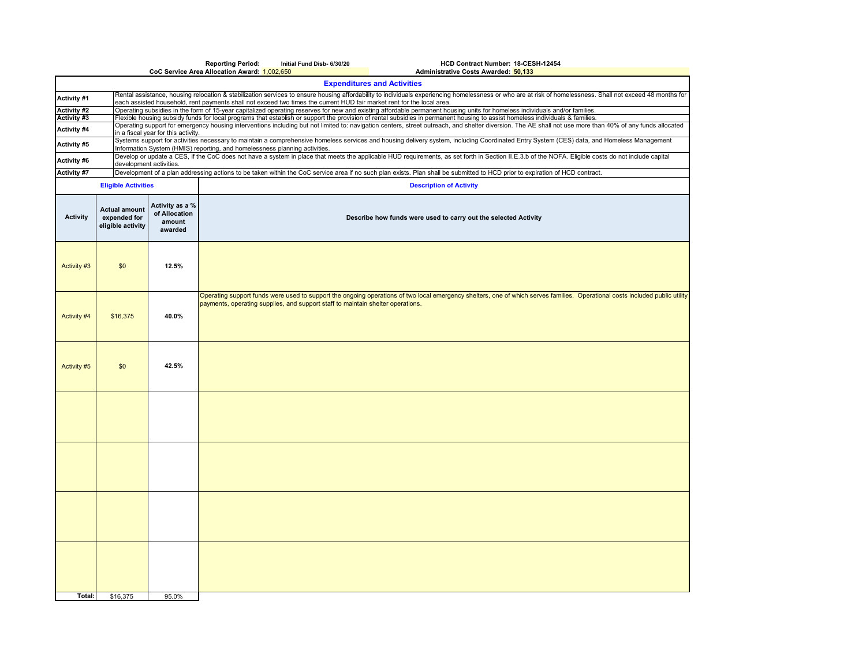|                    |                                                           |                                                                                                                                                                                                                                                                          | <b>Reporting Period:</b>                                        | Initial Fund Disb- 6/30/20                                                      | HCD Contract Number: 18-CESH-12454                                                                                                                                                                                                                                                                                                   |  |  |  |  |  |  |  |
|--------------------|-----------------------------------------------------------|--------------------------------------------------------------------------------------------------------------------------------------------------------------------------------------------------------------------------------------------------------------------------|-----------------------------------------------------------------|---------------------------------------------------------------------------------|--------------------------------------------------------------------------------------------------------------------------------------------------------------------------------------------------------------------------------------------------------------------------------------------------------------------------------------|--|--|--|--|--|--|--|
|                    |                                                           |                                                                                                                                                                                                                                                                          | CoC Service Area Allocation Award: 1,002,650                    |                                                                                 | Administrative Costs Awarded: 50,133<br><b>Expenditures and Activities</b>                                                                                                                                                                                                                                                           |  |  |  |  |  |  |  |
| Activity #1        |                                                           |                                                                                                                                                                                                                                                                          |                                                                 |                                                                                 | Rental assistance, housing relocation & stabilization services to ensure housing affordability to individuals experiencing homelessness or who are at risk of homelessness. Shall not exceed 48 months for<br>each assisted household, rent payments shall not exceed two times the current HUD fair market rent for the local area. |  |  |  |  |  |  |  |
| <b>Activity #2</b> |                                                           |                                                                                                                                                                                                                                                                          |                                                                 |                                                                                 | Operating subsidies in the form of 15-year capitalized operating reserves for new and existing affordable permanent housing units for homeless individuals and/or families.                                                                                                                                                          |  |  |  |  |  |  |  |
| Activity #3        |                                                           | Flexible housing subsidy funds for local programs that establish or support the provision of rental subsidies in permanent housing to assist homeless individuals & families.                                                                                            |                                                                 |                                                                                 |                                                                                                                                                                                                                                                                                                                                      |  |  |  |  |  |  |  |
| Activity #4        |                                                           | Operating support for emergency housing interventions including but not limited to: navigation centers, street outreach, and shelter diversion. The AE shall not use more than 40% of any funds allocated<br>in a fiscal year for this activity.                         |                                                                 |                                                                                 |                                                                                                                                                                                                                                                                                                                                      |  |  |  |  |  |  |  |
| Activity #5        |                                                           | Systems support for activities necessary to maintain a comprehensive homeless services and housing delivery system, including Coordinated Entry System (CES) data, and Homeless Management<br>Information System (HMIS) reporting, and homelessness planning activities. |                                                                 |                                                                                 |                                                                                                                                                                                                                                                                                                                                      |  |  |  |  |  |  |  |
| Activity #6        |                                                           | Develop or update a CES, if the CoC does not have a system in place that meets the applicable HUD requirements, as set forth in Section II.E.3.b of the NOFA. Eligible costs do not include capital<br>development activities.                                           |                                                                 |                                                                                 |                                                                                                                                                                                                                                                                                                                                      |  |  |  |  |  |  |  |
| Activity #7        |                                                           |                                                                                                                                                                                                                                                                          |                                                                 |                                                                                 | Development of a plan addressing actions to be taken within the CoC service area if no such plan exists. Plan shall be submitted to HCD prior to expiration of HCD contract.                                                                                                                                                         |  |  |  |  |  |  |  |
|                    | <b>Eligible Activities</b>                                |                                                                                                                                                                                                                                                                          | <b>Description of Activity</b>                                  |                                                                                 |                                                                                                                                                                                                                                                                                                                                      |  |  |  |  |  |  |  |
| <b>Activity</b>    | <b>Actual amount</b><br>expended for<br>eligible activity | Activity as a %<br>of Allocation<br>amount<br>awarded                                                                                                                                                                                                                    | Describe how funds were used to carry out the selected Activity |                                                                                 |                                                                                                                                                                                                                                                                                                                                      |  |  |  |  |  |  |  |
| Activity #3        | \$0                                                       | 12.5%                                                                                                                                                                                                                                                                    |                                                                 |                                                                                 |                                                                                                                                                                                                                                                                                                                                      |  |  |  |  |  |  |  |
| Activity #4        | \$16,375                                                  | 40.0%                                                                                                                                                                                                                                                                    |                                                                 | payments, operating supplies, and support staff to maintain shelter operations. | Operating support funds were used to support the ongoing operations of two local emergency shelters, one of which serves families. Operational costs included public utility                                                                                                                                                         |  |  |  |  |  |  |  |
| Activity #5        | \$0                                                       | 42.5%                                                                                                                                                                                                                                                                    |                                                                 |                                                                                 |                                                                                                                                                                                                                                                                                                                                      |  |  |  |  |  |  |  |
|                    |                                                           |                                                                                                                                                                                                                                                                          |                                                                 |                                                                                 |                                                                                                                                                                                                                                                                                                                                      |  |  |  |  |  |  |  |
|                    |                                                           |                                                                                                                                                                                                                                                                          |                                                                 |                                                                                 |                                                                                                                                                                                                                                                                                                                                      |  |  |  |  |  |  |  |
|                    |                                                           |                                                                                                                                                                                                                                                                          |                                                                 |                                                                                 |                                                                                                                                                                                                                                                                                                                                      |  |  |  |  |  |  |  |
|                    |                                                           |                                                                                                                                                                                                                                                                          |                                                                 |                                                                                 |                                                                                                                                                                                                                                                                                                                                      |  |  |  |  |  |  |  |
| Total:             | \$16,375                                                  | 95.0%                                                                                                                                                                                                                                                                    |                                                                 |                                                                                 |                                                                                                                                                                                                                                                                                                                                      |  |  |  |  |  |  |  |